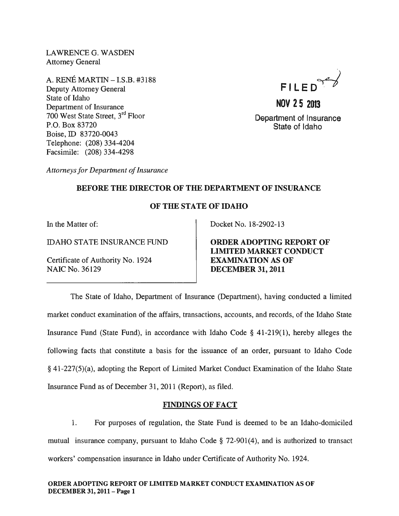LAWRENCE G. WASDEN Attorney General

A. RENE MARTIN - I.S.B. #3188 Deputy Attorney General State of Idaho Department of Insurance 700 West State Street, 3rd Floor P.O. Box 83720 Boise, ID 83720-0043 Telephone: (208) 334-4204 Facsimile: (208) 334-4298



**NOV 25 2013**  Department of Insurance State of Idaho

*Attorneys for Department of Insurance* 

### BEFORE THE DIRECTOR OF THE DEPARTMENT OF INSURANCE

### OF THE STATE OF IDAHO

In the Matter of:

IDAHO STATE INSURANCE FUND

Certificate of Authority No. 1924 NAIC No. 36129

Docket No. 18-2902-13

ORDER ADOPTING REPORT OF LIMITED MARKET CONDUCT EXAMINATION AS OF DECEMBER 31, 2011

The State of Idaho, Department of Insurance (Department), having conducted a limited market conduct examination of the affairs, transactions, accounts, and records, of the Idaho State Insurance Fund (State Fund), in accordance with Idaho Code § 41-219(1), hereby alleges the following facts that constitute a basis for the issuance of an order, pursuant to Idaho Code § 41-227(5)(a), adopting the Report of Limited Market Conduct Examination of the Idaho State Insurance Fund as of December 31, 2011 (Report), as filed.

### FINDINGS OF FACT

1. For purposes of regulation, the State Fund is deemed to be an Idaho-domiciled mutual insurance company, pursuant to Idaho Code § 72-901(4), and is authorized to transact workers' compensation insurance in Idaho under Certificate of Authority No. 1924.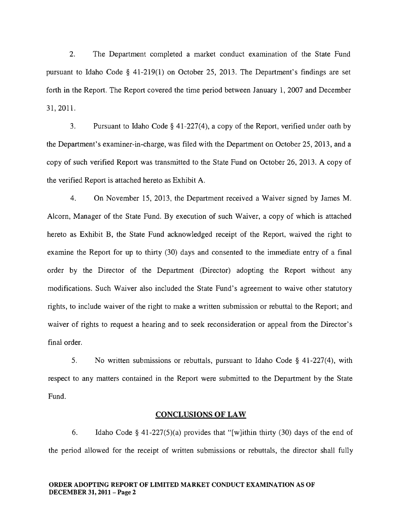2. The Department completed a market conduct examination of the State Fund pursuant to Idaho Code § 41-219(1) on October 25, 2013. The Department's findings are set forth in the Report. The Report covered the time period between January 1,2007 and December 31,2011.

3. Pursuant to Idaho Code § 41-227(4), a copy of the Report, verified under oath by the Department's examiner-in-charge, was filed with the Department on October 25, 2013, and a copy of such verified Report was transmitted to the State Fund on October 26, 2013. A copy of the verified Report is attached hereto as Exhibit A.

4. On November 15,2013, the Department received a Waiver signed by James M. Alcorn, Manager of the State Fund. By execution of such Waiver, a copy of which is attached hereto as Exhibit B, the State Fund acknowledged receipt of the Report, waived the right to examine the Report for up to thirty (30) days and consented to the immediate entry of a final order by the Director of the Department (Director) adopting the Report without any modifications. Such Waiver also included the State Fund's agreement to waive other statutory rights, to include waiver of the right to make a written submission or rebuttal to the Report; and waiver of rights to request a hearing and to seek reconsideration or appeal from the Director's final order.

5. No written submissions or rebuttals, pursuant to Idaho Code § 41-227(4), with respect to any matters contained in the Report were submitted to the Department by the State Fund.

#### CONCLUSIONS OF LAW

6. Idaho Code § 41-227(5)(a) provides that "[w]ithin thirty (30) days of the end of the period allowed for the receipt of written submissions or rebuttals, the director shall fully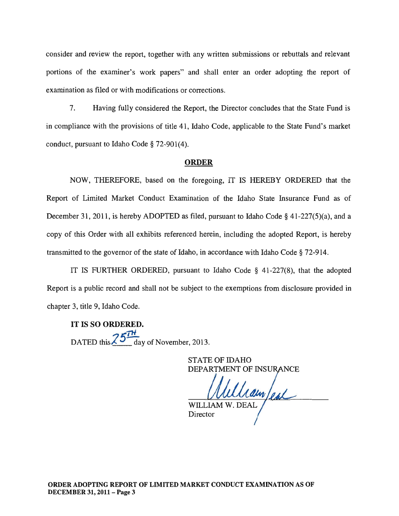consider and review the report, together with any written submissions or rebuttals and relevant portions of the examiner's work papers" and shall enter an order adopting the report of examination as filed or with modifications or corrections.

7. Having fully considered the Report, the Director concludes that the State Fund is in compliance with the provisions of title 41, Idaho Code, applicable to the State Fund's market conduct, pursuant to Idaho Code § 72-901(4).

#### ORDER

NOW, THEREFORE, based on the foregoing, IT IS HEREBY ORDERED that the Report of Limited Market Conduct Examination of the Idaho State Insurance Fund as of December 31, 2011, is hereby ADOPTED as filed, pursuant to Idaho Code § 41-227(5)(a), and a copy of this Order with all exhibits referenced herein, including the adopted Report, is hereby transmitted to the governor of the state of Idaho, in accordance with Idaho Code § 72-914.

IT IS FURTHER ORDERED, pursuant to Idaho Code § 41-227(8), that the adopted Report is a public record and shall not be subject to the exemptions from disclosure provided in chapter 3, title 9, Idaho Code.

IT IS SO ORDERED. DATED this  $\frac{25\pi}{4}$  day of November, 2013.

> STATE OF IDAHO DEPARTMENT OF INSURANCE

Uamfeal WILLIAM W. DEAL.

Director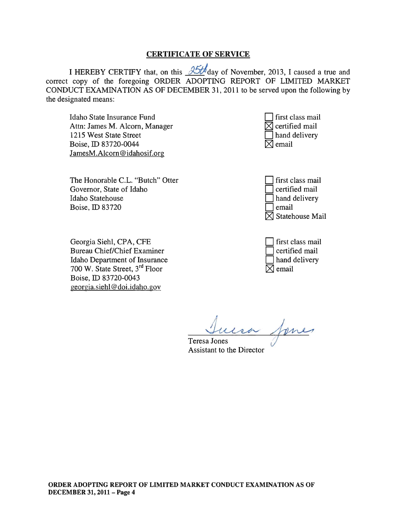#### CERTIFICATE OF SERVICE

I HEREBY CERTIFY that, on this  $\frac{35t}{4}$  day of November, 2013, I caused a true and correct copy of the foregoing ORDER ADOPTING REPORT OF LIMITED MARKET CONDUCT EXAMINATION AS OF DECEMBER 31, 2011 to be served upon the following by the designated means:

Idaho State Insurance Fund Attn: James M. Alcorn, Manager 1215 West State Street Boise, ID 83720-0044 JamesM.Alcorn@idahosif.org

The Honorable C.L. "Butch" Otter Governor, State of Idaho Idaho Statehouse Boise, ID 83720

Georgia Siehl, CPA, CFE Bureau Chief/Chief Examiner Idaho Department of Insurance 700 W. State Street, 3rd Floor Boise, ID 83720-0043 georgia. siehl@doi.idaho.gov

| $\Box$ first class mail    |
|----------------------------|
| $\boxtimes$ certified mail |
| $\Box$ hand delivery       |
| $\boxtimes$ email          |

| first class mail  |
|-------------------|
| certified mail    |
| hand delivery     |
| email             |
| ] Statehouse Mail |

first class mail certified mail hand delivery  $\boxtimes$ l email

Teresa Jones<br>Teresa Jones<br>Assistant to the Director

**Assistant to the Director**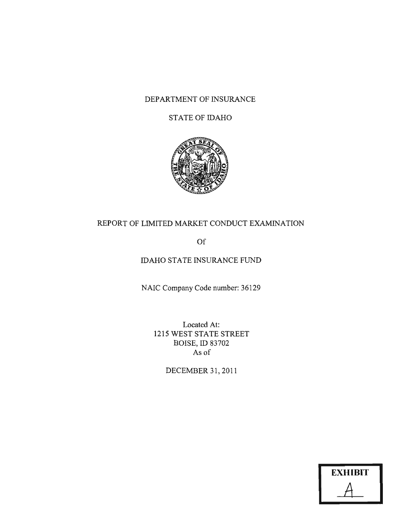### DEPARTMENT OF INSURANCE

### STATE OF IDAHO



### REPORT OF LIMITED MARKET CONDUCT EXAMINATION

Of

### IDAHO STATE INSURANCE FUND

NAIC Company Code number: 36129

Located At: 1215 WEST STATE STREET BOISE, ID 83702 As of

DECEMBER 31,2011

| <b>EXHIBIT</b> |  |
|----------------|--|
|                |  |
|                |  |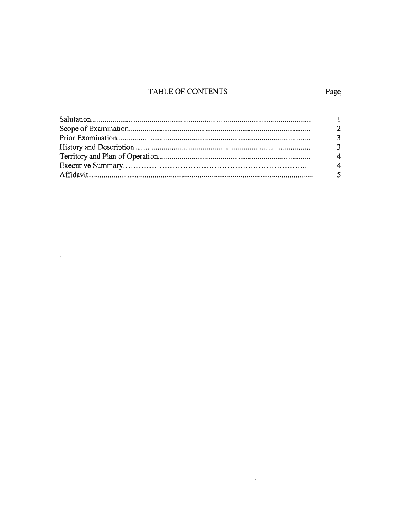## **TABLE OF CONTENTS**

 $\label{eq:2.1} \frac{1}{2} \int_{\mathbb{R}^3} \frac{1}{\sqrt{2}} \, \frac{1}{\sqrt{2}} \, \frac{1}{\sqrt{2}} \, \frac{1}{\sqrt{2}} \, \frac{1}{\sqrt{2}} \, \frac{1}{\sqrt{2}} \, \frac{1}{\sqrt{2}} \, \frac{1}{\sqrt{2}} \, \frac{1}{\sqrt{2}} \, \frac{1}{\sqrt{2}} \, \frac{1}{\sqrt{2}} \, \frac{1}{\sqrt{2}} \, \frac{1}{\sqrt{2}} \, \frac{1}{\sqrt{2}} \, \frac{1}{\sqrt{2}} \, \frac{1}{\sqrt{2}} \,$ 

 $\mathcal{L}^{\text{max}}_{\text{max}}$  and  $\mathcal{L}^{\text{max}}_{\text{max}}$ 

### Page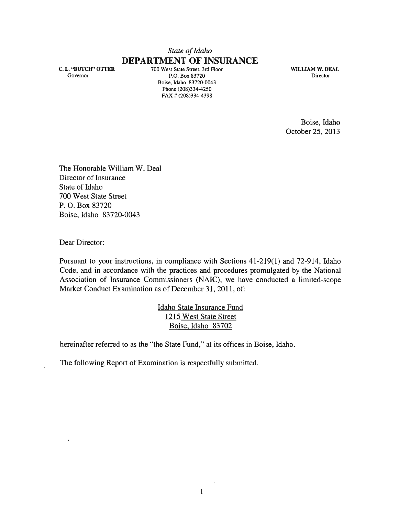## *State of Idaho*  **DEPARTMENT OF INSURANCE**

C. L. "BUTCH" OTTER Governor

700 West State Street, 3rd Floor P.O. Box 83720 Boise, Idaho 83720-0043 Phone (208)334-4250 FAX # (208)334-4398

WILLIAM W. DEAL Director

Boise, Idaho October 25,2013

The Honorable William W. Deal Director of Insurance State of Idaho 700 West State Street P. O. Box 83720 Boise, Idaho 83720-0043

Dear Director:

Pursuant to your instructions, in compliance with Sections 41-219(1) and 72-914, Idaho Code, and in accordance with the practices and procedures promulgated by the National Association of Insurance Commissioners (NAIC), we have conducted a limited-scope Market Conduct Examination as of December 31, 2011, of:

> Idaho State Insurance Fund 1215 West State Street Boise, Idaho 83702

hereinafter referred to as the "the State Fund," at its offices in Boise, Idaho.

The following Report of Examination is respectfully submitted.

 $\alpha$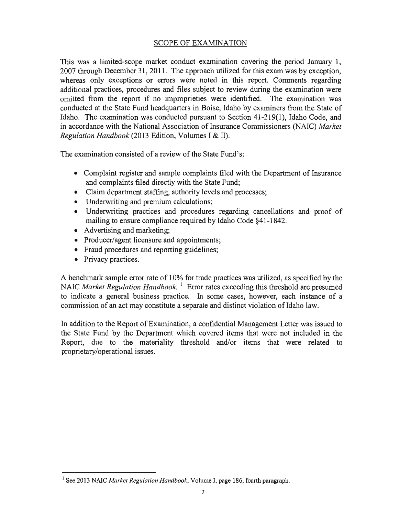### SCOPE OF EXAMINATION

This was a limited-scope market conduct examination covering the period January 1, 2007 through December 31, 2011. The approach utilized for this exam was by exception, whereas only exceptions or errors were noted in this report. Comments regarding additional practices, procedures and files subject to review during the examination were omitted from the report if no improprieties were identified. The examination was conducted at the State Fund headquarters in Boise, Idaho by examiners from the State of Idaho. The examination was conducted pursuant to Section 41-219(1), Idaho Code, and in accordance with the National Association of Insurance Commissioners (NAIC) *Market Regulation Handbook* (2013 Edition, Volumes I & II).

The examination consisted of a review of the State Fund's:

- Complaint register and sample complaints filed with the Department of Insurance and complaints filed directly with the State Fund;
- Claim department staffing, authority levels and processes;
- Underwriting and premium calculations;
- Underwriting practices and procedures regarding cancellations and proof of mailing to ensure compliance required by Idaho Code §41-1842.
- Advertising and marketing;
- Producer/agent licensure and appointments;
- Fraud procedures and reporting guidelines;
- Privacy practices.

A benchmark sample error rate of 10% for trade practices was utilized, as specified by the NAIC *Market Regulation Handbook.* 1 Error rates exceeding this threshold are presumed to indicate a general business practice. In some cases, however, each instance of a commission of an act may constitute a separate and distinct violation of Idaho law.

In addition to the Report of Examination, a confidential Management Letter was issued to the State Fund by the Department which covered items that were not included in the Report, due to the materiality threshold and/or items that were related to proprietary/operational issues.

<sup>&</sup>lt;sup>1</sup> See 2013 NAIC *Market Regulation Handbook*, Volume I, page 186, fourth paragraph.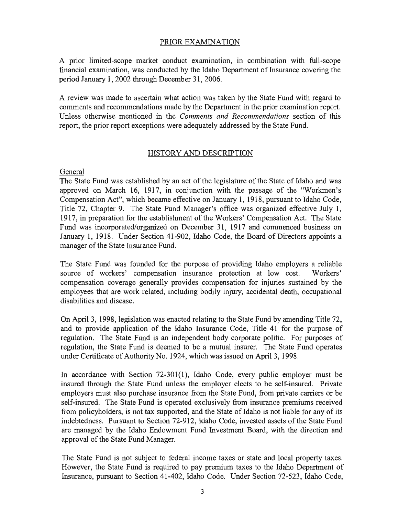### PRIOR EXAMINATION

A prior limited-scope market conduct examination, in combination with full-scope financial examination, was conducted by the Idaho Department of Insurance covering the period January 1, 2002 through December 31, 2006.

A review was made to ascertain what action was taken by the State Fund with regard to comments and recommendations made by the Department in the prior examination report. Unless otherwise mentioned in the *Comments and Recommendations* section of this report, the prior report exceptions were adequately addressed by the State Fund.

### HISTORY AND DESCRIPTION

### General

The State Fund was established by an act of the legislature of the State of Idaho and was approved on March 16, 1917, in conjunction with the passage of the "Workmen's Compensation Act", which became effective on January 1, 1918, pursuant to Idaho Code, Title 72, Chapter 9. The State Fund Manager's office was organized effective July 1, 1917, in preparation for the establishment of the Workers' Compensation Act. The State Fund was incorporated/organized on December 31, 1917 and commenced business on January 1, 1918. Under Section 41-902, Idaho Code, the Board of Directors appoints a manager of the State Insurance Fund.

The State Fund was founded for the purpose of providing Idaho employers a reliable source of workers' compensation insurance protection at low cost. Workers' compensation coverage generally provides compensation for injuries sustained by the employees that are work related, including bodily injury, accidental death, occupational disabilities and disease.

On April 3, 1998, legislation was enacted relating to the State Fund by amending Title 72, and to provide application of the Idaho Insurance Code, Title 41 for the purpose of regulation. The State Fund is an independent body corporate politic. For purposes of regulation, the State Fund is deemed to be a mutual insurer. The State Fund operates under Certificate of Authority No. 1924, which was issued on April 3, 1998.

In accordance with Section 72-301(1), Idaho Code, every public employer must be insured through the State Fund unless the employer elects to be self-insured. Private employers must also purchase insurance from the State Fund, from private carriers or be self-insured. The State Fund is operated exclusively from insurance premiums received from policyholders, is not tax supported, and the State of Idaho is not liable for any of its indebtedness. Pursuant to Section 72-912, Idaho Code, invested assets of the State Fund are managed by the Idaho Endowment Fund Investment Board, with the direction and approval of the State Fund Manager.

The State Fund is not subject to federal income taxes or state and local property taxes. However, the State Fund is required to pay premium taxes to the Idaho Department of Insurance, pursuant to Section 41-402, Idaho Code. Under Section 72-523, Idaho Code,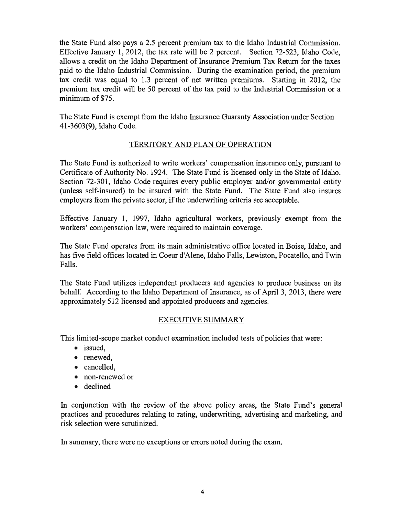the State Fund also pays a 2.5 percent premium tax to the Idaho Industrial Commission. Effective January 1, 2012, the tax rate will be 2 percent. Section 72-523, Idaho Code, allows a credit on the Idaho Department of Insurance Premium Tax Return for the taxes paid to the Idaho Industrial Commission. During the examination period, the premium tax credit was equal to 1.3 percent of net written premiums. Starting in 2012, the premium tax credit will be 50 percent of the tax paid to the Industrial Commission or a minimum of \$75.

The State Fund is exempt from the Idaho Insurance Guaranty Association under Section 41-3603(9), Idaho Code.

### TERRITORY AND PLAN OF OPERATION

The State Fund is authorized to write workers' compensation insurance only, pursuant to Certificate of Authority No. 1924. The State Fund is licensed only in the State of Idaho. Section 72-301, Idaho Code requires every public employer and/or governmental entity (unless self-insured) to be insured with the State Fund. The State Fund also insures employers from the private sector, if the underwriting criteria are acceptable.

Effective January 1, 1997, Idaho agricultural workers, previously exempt from the workers' compensation law, were required to maintain coverage.

The State Fund operates from its main administrative office located in Boise, Idaho, and has five field offices located in Coeur d'Alene, Idaho Falls, Lewiston, Pocatello, and Twin Falls.

The State Fund utilizes independent producers and agencies to produce business on its behalf. According to the Idaho Department of Insurance, as of April 3, 2013, there were approximately 512 licensed and appointed producers and agencies.

### EXECUTIVE SUMMARY

This limited-scope market conduct examination included tests of policies that were:

- issued,
- renewed,
- cancelled,
- non-renewed or
- declined

In conjunction with the review of the above policy areas, the State Fund's general practices and procedures relating to rating, underwriting, advertising and marketing, and risk selection were scrutinized.

In summary, there were no exceptions or errors noted during the exam.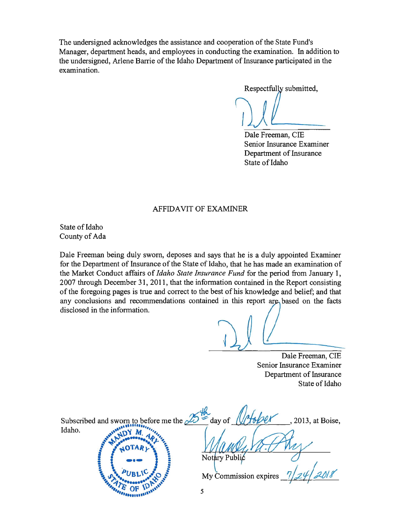The undersigned acknowledges the assistance and cooperation of the State Fund's Manager, department heads, and employees in conducting the examination. In addition to the undersigned, Arlene Barrie of the Idaho Department of Insurance participated in the examination.

Respectfully submitted,

Dale Freeman, CIE Senior Insurance Examiner Department of Insurance State of Idaho

### AFFIDAVIT OF EXAMINER

State of Idaho County of Ada

Dale Freeman being duly sworn, deposes and says that he is a duly appointed Examiner for the Department of Insurance of the State of Idaho, that he has made an examination of the Market Conduct affairs of *Idaho State Insurance Fund* for the period from January 1, 2007 through December 31, 2011, that the information contained in the Report consisting of the foregoing pages is true and correct to the best of his knowledge and belief; and that any conclusions and recommendations contained in this report are based on the facts disclosed in the information.

Dale Freeman, CIE Senior Insurance Examiner Department of Insurance State of Idaho

Subscribed and sworn to before me the 25th day of October, 2013, at Boise, \ 1 ~ ~ .. ~:~:clo) **•** *•• .;c.* **..** ~" -f" **•••••••• ,. •• '"** My Commission expires

~'" ~ **Ii OF** \~ **•• ' '#" ", "' ....... ,,,**